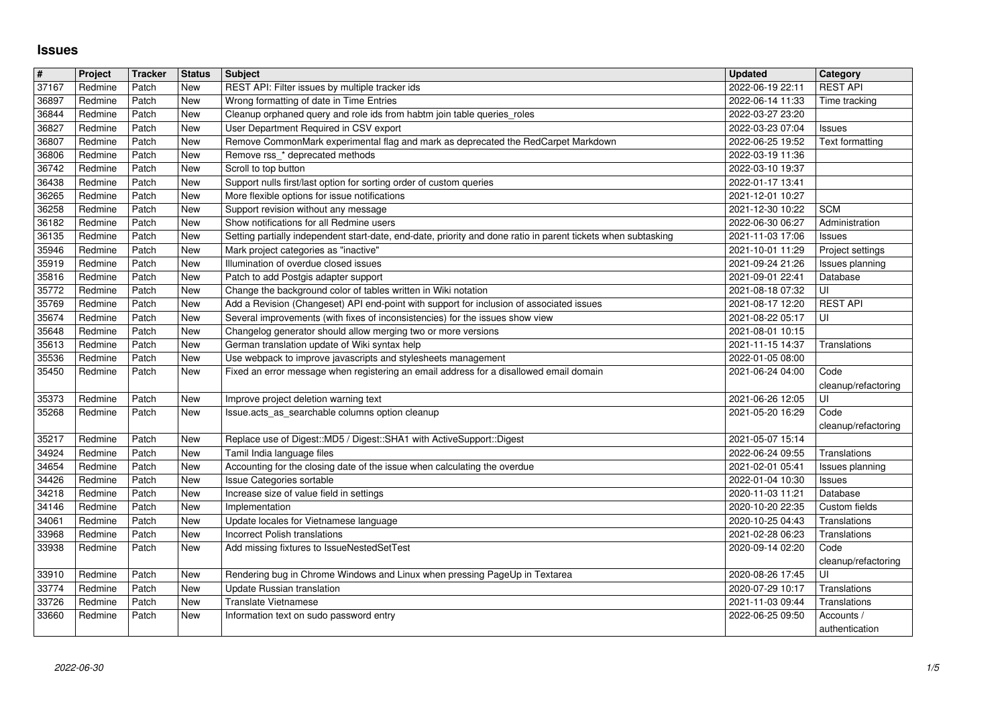## **Issues**

| $\overline{\mathbf{r}}$ | Project            | <b>Tracker</b> | <b>Status</b> | <b>Subject</b>                                                                                                                                         | <b>Updated</b>                       | Category                         |
|-------------------------|--------------------|----------------|---------------|--------------------------------------------------------------------------------------------------------------------------------------------------------|--------------------------------------|----------------------------------|
| 37167<br>36897          | Redmine<br>Redmine | Patch<br>Patch | New<br>New    | REST API: Filter issues by multiple tracker ids<br>Wrong formatting of date in Time Entries                                                            | 2022-06-19 22:11<br>2022-06-14 11:33 | <b>REST API</b><br>Time tracking |
| 36844                   | Redmine            | Patch          | New           | Cleanup orphaned query and role ids from habtm join table queries_roles                                                                                | 2022-03-27 23:20                     |                                  |
| 36827<br>36807          | Redmine<br>Redmine | Patch<br>Patch | New<br>New    | User Department Required in CSV export<br>Remove CommonMark experimental flag and mark as deprecated the RedCarpet Markdown                            | 2022-03-23 07:04<br>2022-06-25 19:52 | Issues<br>Text formatting        |
| 36806                   | Redmine            | Patch          | New           | Remove rss_* deprecated methods                                                                                                                        | 2022-03-19 11:36                     |                                  |
| 36742                   | Redmine            | Patch          | New           | Scroll to top button                                                                                                                                   | 2022-03-10 19:37                     |                                  |
| 36438<br>36265          | Redmine<br>Redmine | Patch<br>Patch | New<br>New    | Support nulls first/last option for sorting order of custom queries<br>More flexible options for issue notifications                                   | 2022-01-17 13:41<br>2021-12-01 10:27 |                                  |
| 36258                   | Redmine            | Patch          | New           | Support revision without any message                                                                                                                   | 2021-12-30 10:22                     | <b>SCM</b>                       |
| 36182<br>36135          | Redmine            | Patch<br>Patch | New           | Show notifications for all Redmine users                                                                                                               | 2022-06-30 06:27                     | Administration                   |
| 35946                   | Redmine<br>Redmine | Patch          | New<br>New    | Setting partially independent start-date, end-date, priority and done ratio in parent tickets when subtasking<br>Mark project categories as "inactive" | 2021-11-03 17:06<br>2021-10-01 11:29 | Issues<br>Project settings       |
| 35919                   | Redmine            | Patch          | New           | Illumination of overdue closed issues                                                                                                                  | 2021-09-24 21:26                     | Issues planning                  |
| 35816<br>35772          | Redmine<br>Redmine | Patch<br>Patch | New<br>New    | Patch to add Postgis adapter support<br>Change the background color of tables written in Wiki notation                                                 | 2021-09-01 22:41<br>2021-08-18 07:32 | Database<br>UI                   |
| 35769                   | Redmine            | Patch          | New           | Add a Revision (Changeset) API end-point with support for inclusion of associated issues                                                               | 2021-08-17 12:20                     | <b>REST API</b>                  |
| 35674                   | Redmine            | Patch          | New           | Several improvements (with fixes of inconsistencies) for the issues show view                                                                          | 2021-08-22 05:17                     | UI                               |
| 35648<br>35613          | Redmine<br>Redmine | Patch<br>Patch | New<br>New    | Changelog generator should allow merging two or more versions<br>German translation update of Wiki syntax help                                         | 2021-08-01 10:15<br>2021-11-15 14:37 | Translations                     |
| 35536                   | Redmine            | Patch          | New           | Use webpack to improve javascripts and stylesheets management                                                                                          | 2022-01-05 08:00                     |                                  |
| 35450                   | Redmine            | Patch          | New           | Fixed an error message when registering an email address for a disallowed email domain                                                                 | 2021-06-24 04:00                     | Code                             |
| 35373                   | Redmine            | Patch          | New           | Improve project deletion warning text                                                                                                                  | 2021-06-26 12:05                     | cleanup/refactoring<br>UI        |
| 35268                   | Redmine            | Patch          | New           | Issue.acts_as_searchable columns option cleanup                                                                                                        | 2021-05-20 16:29                     | Code                             |
|                         |                    |                |               |                                                                                                                                                        |                                      | cleanup/refactoring              |
| 35217<br>34924          | Redmine<br>Redmine | Patch<br>Patch | New<br>New    | Replace use of Digest:: MD5 / Digest:: SHA1 with ActiveSupport:: Digest<br>Tamil India language files                                                  | 2021-05-07 15:14<br>2022-06-24 09:55 | Translations                     |
| 34654                   | Redmine            | Patch          | <b>New</b>    | Accounting for the closing date of the issue when calculating the overdue                                                                              | 2021-02-01 05:41                     | Issues planning                  |
| 34426                   | Redmine            | Patch          | New           | Issue Categories sortable                                                                                                                              | 2022-01-04 10:30                     | Issues                           |
| 34218<br>34146          | Redmine<br>Redmine | Patch<br>Patch | New<br>New    | Increase size of value field in settings<br>Implementation                                                                                             | 2020-11-03 11:21<br>2020-10-20 22:35 | Database<br>Custom fields        |
| 34061                   | Redmine            | Patch          | New           | Update locales for Vietnamese language                                                                                                                 | 2020-10-25 04:43                     | Translations                     |
| 33968                   | Redmine            | Patch          | New           | Incorrect Polish translations                                                                                                                          | 2021-02-28 06:23                     | Translations                     |
| 33938                   | Redmine            | Patch          | New           | Add missing fixtures to IssueNestedSetTest                                                                                                             | 2020-09-14 02:20                     | Code<br>cleanup/refactoring      |
| 33910                   | Redmine            | Patch          | New           | Rendering bug in Chrome Windows and Linux when pressing PageUp in Textarea                                                                             | 2020-08-26 17:45                     | UI                               |
| 33774                   | Redmine            | Patch          | New           | Update Russian translation                                                                                                                             | 2020-07-29 10:17                     | Translations                     |
| 33726<br>33660          | Redmine<br>Redmine | Patch<br>Patch | New<br>New    | Translate Vietnamese<br>Information text on sudo password entry                                                                                        | 2021-11-03 09:44<br>2022-06-25 09:50 | Translations<br>Accounts /       |
|                         |                    |                |               |                                                                                                                                                        |                                      |                                  |
|                         |                    |                |               |                                                                                                                                                        |                                      |                                  |
|                         |                    |                |               |                                                                                                                                                        |                                      |                                  |
|                         |                    |                |               |                                                                                                                                                        |                                      |                                  |
|                         |                    |                |               |                                                                                                                                                        |                                      |                                  |
|                         |                    |                |               |                                                                                                                                                        |                                      |                                  |
|                         |                    |                |               |                                                                                                                                                        |                                      |                                  |
|                         |                    |                |               |                                                                                                                                                        |                                      |                                  |
|                         |                    |                |               |                                                                                                                                                        |                                      |                                  |
|                         |                    |                |               |                                                                                                                                                        |                                      |                                  |
|                         |                    |                |               |                                                                                                                                                        |                                      |                                  |
|                         |                    |                |               |                                                                                                                                                        |                                      |                                  |
|                         |                    |                |               |                                                                                                                                                        |                                      |                                  |
|                         |                    |                |               |                                                                                                                                                        |                                      |                                  |
|                         |                    |                |               |                                                                                                                                                        |                                      |                                  |
|                         |                    |                |               |                                                                                                                                                        |                                      |                                  |
|                         |                    |                |               |                                                                                                                                                        |                                      |                                  |
|                         |                    |                |               |                                                                                                                                                        |                                      |                                  |
|                         |                    |                |               |                                                                                                                                                        |                                      |                                  |
|                         |                    |                |               |                                                                                                                                                        |                                      |                                  |
|                         |                    |                |               |                                                                                                                                                        |                                      |                                  |
|                         |                    |                |               |                                                                                                                                                        |                                      |                                  |
|                         |                    |                |               |                                                                                                                                                        |                                      |                                  |
|                         |                    |                |               |                                                                                                                                                        |                                      |                                  |
|                         |                    |                |               |                                                                                                                                                        |                                      |                                  |
|                         |                    |                |               |                                                                                                                                                        |                                      |                                  |
|                         |                    |                |               |                                                                                                                                                        |                                      |                                  |
|                         |                    |                |               |                                                                                                                                                        |                                      |                                  |
|                         |                    |                |               |                                                                                                                                                        |                                      |                                  |
|                         |                    |                |               |                                                                                                                                                        |                                      |                                  |
|                         |                    |                |               |                                                                                                                                                        |                                      |                                  |
|                         |                    |                |               |                                                                                                                                                        |                                      |                                  |
|                         |                    |                |               |                                                                                                                                                        |                                      |                                  |
|                         |                    |                |               |                                                                                                                                                        |                                      |                                  |
|                         |                    |                |               |                                                                                                                                                        |                                      |                                  |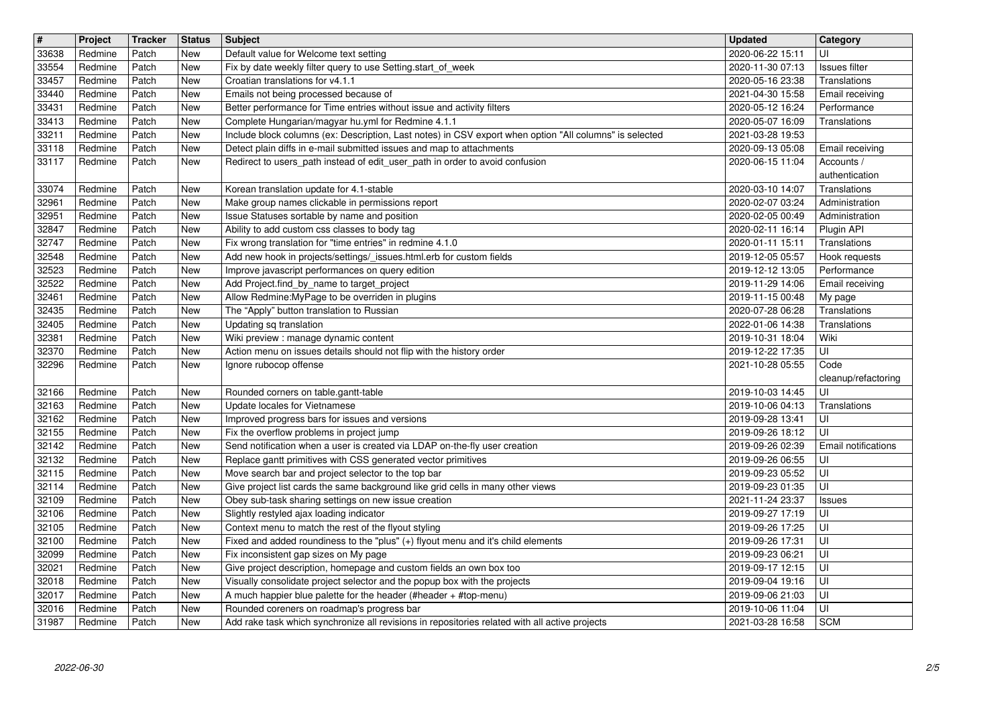| $\overline{\mathbf{H}}$ | Project            | <b>Tracker</b> | <b>Status</b> | <b>Subject</b>                                                                                                                                                                  | <b>Updated</b>                       | Category                       |
|-------------------------|--------------------|----------------|---------------|---------------------------------------------------------------------------------------------------------------------------------------------------------------------------------|--------------------------------------|--------------------------------|
| 33638<br>33554          | Redmine<br>Redmine | Patch<br>Patch | New<br>New    | Default value for Welcome text setting<br>Fix by date weekly filter query to use Setting start_of_week                                                                          | 2020-06-22 15:11<br>2020-11-30 07:13 | UI<br>Issues filter            |
| 33457                   | Redmine            | Patch          | New           | Croatian translations for v4.1.1                                                                                                                                                | 2020-05-16 23:38                     | Translations                   |
| 33440<br>33431          | Redmine<br>Redmine | Patch<br>Patch | New<br>New    | Emails not being processed because of<br>Better performance for Time entries without issue and activity filters                                                                 | 2021-04-30 15:58<br>2020-05-12 16:24 | Email receiving<br>Performance |
| 33413                   | Redmine            | Patch          | New           | Complete Hungarian/magyar hu.yml for Redmine 4.1.1                                                                                                                              | 2020-05-07 16:09                     | Translations                   |
| 33211<br>33118          | Redmine<br>Redmine | Patch<br>Patch | New<br>New    | Include block columns (ex: Description, Last notes) in CSV export when option "All columns" is selected<br>Detect plain diffs in e-mail submitted issues and map to attachments | 2021-03-28 19:53<br>2020-09-13 05:08 |                                |
| 33117                   | Redmine            | Patch          | New           | Redirect to users_path instead of edit_user_path in order to avoid confusion                                                                                                    | 2020-06-15 11:04                     | Email receiving<br>Accounts /  |
|                         |                    |                |               |                                                                                                                                                                                 |                                      | authentication                 |
| 33074<br>32961          | Redmine<br>Redmine | Patch<br>Patch | New<br>New    | Korean translation update for 4.1-stable<br>Make group names clickable in permissions report                                                                                    | 2020-03-10 14:07<br>2020-02-07 03:24 | Translations<br>Administration |
| 32951                   | Redmine            | Patch          | New           | Issue Statuses sortable by name and position                                                                                                                                    | 2020-02-05 00:49                     | Administration                 |
| 32847<br>32747          | Redmine<br>Redmine | Patch<br>Patch | New<br>New    | Ability to add custom css classes to body tag<br>Fix wrong translation for "time entries" in redmine 4.1.0                                                                      | 2020-02-11 16:14<br>2020-01-11 15:11 | Plugin API<br>Translations     |
| 32548                   | Redmine            | Patch          | New           | Add new hook in projects/settings/_issues.html.erb for custom fields                                                                                                            | 2019-12-05 05:57                     | Hook requests                  |
| 32523                   | Redmine            | Patch          | New           | Improve javascript performances on query edition                                                                                                                                | 2019-12-12 13:05                     | Performance                    |
| 32522<br>32461          | Redmine<br>Redmine | Patch<br>Patch | New<br>New    | Add Project.find_by_name to target_project<br>Allow Redmine: My Page to be overriden in plugins                                                                                 | 2019-11-29 14:06<br>2019-11-15 00:48 | Email receiving<br>My page     |
| 32435                   | Redmine            | Patch          | New           | The "Apply" button translation to Russian                                                                                                                                       | 2020-07-28 06:28                     | Translations                   |
| 32405<br>32381          | Redmine<br>Redmine | Patch<br>Patch | New<br>New    | Updating sq translation<br>Wiki preview : manage dynamic content                                                                                                                | 2022-01-06 14:38<br>2019-10-31 18:04 | Translations<br>Wiki           |
| 32370                   | Redmine            | Patch          | New           | Action menu on issues details should not flip with the history order                                                                                                            | 2019-12-22 17:35                     | UI                             |
| 32296                   | Redmine            | Patch          | New           | Ignore rubocop offense                                                                                                                                                          | 2021-10-28 05:55                     | Code                           |
| 32166                   | Redmine            | Patch          | New           | Rounded corners on table.gantt-table                                                                                                                                            | 2019-10-03 14:45                     | cleanup/refactoring<br>UI      |
| 32163                   | Redmine            | Patch          | New           | Update locales for Vietnamese                                                                                                                                                   | 2019-10-06 04:13                     | Translations                   |
| 32162<br>32155          | Redmine<br>Redmine | Patch<br>Patch | New<br>New    | Improved progress bars for issues and versions<br>Fix the overflow problems in project jump                                                                                     | 2019-09-28 13:41<br>2019-09-26 18:12 | UI<br>UI                       |
| 32142                   | Redmine            | Patch          | New           | Send notification when a user is created via LDAP on-the-fly user creation                                                                                                      | 2019-09-26 02:39                     | Email notifications            |
| 32132<br>32115          | Redmine<br>Redmine | Patch<br>Patch | New<br>New    | Replace gantt primitives with CSS generated vector primitives<br>Move search bar and project selector to the top bar                                                            | 2019-09-26 06:55<br>2019-09-23 05:52 | UI<br>UI                       |
| 32114                   | Redmine            | Patch          | New           | Give project list cards the same background like grid cells in many other views                                                                                                 | 2019-09-23 01:35                     | UI                             |
| 32109                   | Redmine            | Patch          | New           | Obey sub-task sharing settings on new issue creation                                                                                                                            | 2021-11-24 23:37                     | Issues                         |
| 32106<br>32105          | Redmine<br>Redmine | Patch<br>Patch | New<br>New    | Slightly restyled ajax loading indicator<br>Context menu to match the rest of the flyout styling                                                                                | 2019-09-27 17:19<br>2019-09-26 17:25 | UI<br>UI                       |
| 32100                   | Redmine            | Patch          | New           | Fixed and added roundiness to the "plus" (+) flyout menu and it's child elements                                                                                                | 2019-09-26 17:31                     | UI                             |
| 32099<br>32021          | Redmine<br>Redmine | Patch<br>Patch | New<br>New    | Fix inconsistent gap sizes on My page<br>Give project description, homepage and custom fields an own box too                                                                    | 2019-09-23 06:21<br>2019-09-17 12:15 | UI<br>ΙUΙ                      |
| 32018                   | Redmine            | Patch          | New           | Visually consolidate project selector and the popup box with the projects                                                                                                       | 2019-09-04 19:16                     | UI                             |
| 32017                   | Redmine            | Patch          | New           | A much happier blue palette for the header (#header + #top-menu)                                                                                                                | 2019-09-06 21:03                     | UI                             |
| 32016<br>31987          | Redmine<br>Redmine | Patch<br>Patch | New<br>New    | Rounded coreners on roadmap's progress bar<br>Add rake task which synchronize all revisions in repositories related with all active projects                                    | 2019-10-06 11:04<br>2021-03-28 16:58 | UI<br><b>SCM</b>               |
|                         |                    |                |               |                                                                                                                                                                                 |                                      |                                |
|                         |                    |                |               |                                                                                                                                                                                 |                                      |                                |
|                         |                    |                |               |                                                                                                                                                                                 |                                      |                                |
|                         |                    |                |               |                                                                                                                                                                                 |                                      |                                |
|                         |                    |                |               |                                                                                                                                                                                 |                                      |                                |
|                         |                    |                |               |                                                                                                                                                                                 |                                      |                                |
|                         |                    |                |               |                                                                                                                                                                                 |                                      |                                |
|                         |                    |                |               |                                                                                                                                                                                 |                                      |                                |
|                         |                    |                |               |                                                                                                                                                                                 |                                      |                                |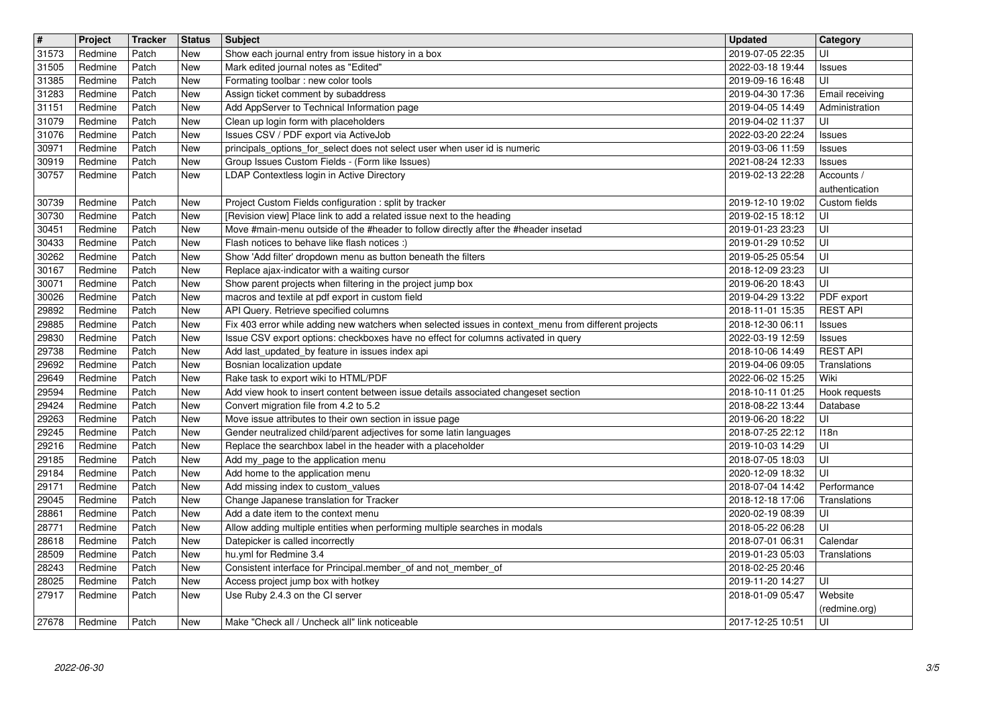| $\overline{\mathbf{H}}$ | Project            | <b>Tracker</b> | <b>Status</b> | <b>Subject</b>                                                                                                                                | <b>Updated</b>                       | Category                        |
|-------------------------|--------------------|----------------|---------------|-----------------------------------------------------------------------------------------------------------------------------------------------|--------------------------------------|---------------------------------|
| 31573<br>31505          | Redmine<br>Redmine | Patch<br>Patch | New<br>New    | Show each journal entry from issue history in a box<br>Mark edited journal notes as "Edited"                                                  | 2019-07-05 22:35<br>2022-03-18 19:44 | UI<br>Issues                    |
| 31385<br>31283          | Redmine<br>Redmine | Patch<br>Patch | New<br>New    | Formating toolbar : new color tools<br>Assign ticket comment by subaddress                                                                    | 2019-09-16 16:48<br>2019-04-30 17:36 | UI<br>Email receiving           |
| 31151                   | Redmine            | Patch          | New           | Add AppServer to Technical Information page                                                                                                   | 2019-04-05 14:49                     | Administration                  |
| 31079<br>31076          | Redmine<br>Redmine | Patch<br>Patch | New<br>New    | Clean up login form with placeholders<br>Issues CSV / PDF export via ActiveJob                                                                | 2019-04-02 11:37<br>2022-03-20 22:24 | UI<br>Issues                    |
| 30971                   | Redmine            | Patch          | New           | principals_options_for_select does not select user when user id is numeric                                                                    | 2019-03-06 11:59                     | Issues                          |
| 30919<br>30757          | Redmine<br>Redmine | Patch<br>Patch | New<br>New    | Group Issues Custom Fields - (Form like Issues)<br>LDAP Contextless login in Active Directory                                                 | 2021-08-24 12:33<br>2019-02-13 22:28 | Issues<br>Accounts /            |
|                         |                    |                |               |                                                                                                                                               |                                      | authentication                  |
| 30739<br>30730          | Redmine<br>Redmine | Patch<br>Patch | New<br>New    | Project Custom Fields configuration : split by tracker<br>[Revision view] Place link to add a related issue next to the heading               | 2019-12-10 19:02<br>2019-02-15 18:12 | Custom fields<br>UI             |
| 30451                   | Redmine            | Patch          | New           | Move #main-menu outside of the #header to follow directly after the #header insetad                                                           | 2019-01-23 23:23                     | UI                              |
| 30433<br>30262          | Redmine<br>Redmine | Patch<br>Patch | New<br>New    | Flash notices to behave like flash notices :)<br>Show 'Add filter' dropdown menu as button beneath the filters                                | 2019-01-29 10:52<br>2019-05-25 05:54 | UI<br>UI                        |
| 30167                   | Redmine            | Patch          | New           | Replace ajax-indicator with a waiting cursor                                                                                                  | 2018-12-09 23:23                     | UI                              |
| 30071<br>30026          | Redmine<br>Redmine | Patch<br>Patch | New<br>New    | Show parent projects when filtering in the project jump box<br>macros and textile at pdf export in custom field                               | 2019-06-20 18:43<br>2019-04-29 13:22 | UI<br>PDF export                |
| 29892<br>29885          | Redmine<br>Redmine | Patch<br>Patch | New<br>New    | API Query. Retrieve specified columns<br>Fix 403 error while adding new watchers when selected issues in context_menu from different projects | 2018-11-01 15:35<br>2018-12-30 06:11 | <b>REST API</b><br>Issues       |
| 29830                   | Redmine            | Patch          | New           | Issue CSV export options: checkboxes have no effect for columns activated in query                                                            | 2022-03-19 12:59                     | Issues                          |
| 29738<br>29692          | Redmine<br>Redmine | Patch<br>Patch | New<br>New    | Add last_updated_by feature in issues index api<br>Bosnian localization update                                                                | 2018-10-06 14:49<br>2019-04-06 09:05 | <b>REST API</b><br>Translations |
| 29649                   | Redmine            | Patch          | New           | Rake task to export wiki to HTML/PDF                                                                                                          | 2022-06-02 15:25                     | Wiki                            |
| 29594<br>29424          | Redmine<br>Redmine | Patch<br>Patch | New<br>New    | Add view hook to insert content between issue details associated changeset section<br>Convert migration file from 4.2 to 5.2                  | 2018-10-11 01:25<br>2018-08-22 13:44 | Hook requests<br>Database       |
| 29263                   | Redmine            | Patch          | New           | Move issue attributes to their own section in issue page                                                                                      | 2019-06-20 18:22                     | UI                              |
| 29245<br>29216          | Redmine<br>Redmine | Patch<br>Patch | New<br>New    | Gender neutralized child/parent adjectives for some latin languages<br>Replace the searchbox label in the header with a placeholder           | 2018-07-25 22:12<br>2019-10-03 14:29 | 118n<br>UI                      |
| 29185                   | Redmine            | Patch          | New           | Add my_page to the application menu                                                                                                           | 2018-07-05 18:03                     | UI                              |
| 29184<br>29171          | Redmine<br>Redmine | Patch<br>Patch | New<br>New    | Add home to the application menu<br>Add missing index to custom_values                                                                        | 2020-12-09 18:32<br>2018-07-04 14:42 | UI<br>Performance               |
| 29045                   | Redmine            | Patch          | New           | Change Japanese translation for Tracker                                                                                                       | 2018-12-18 17:06                     | Translations                    |
| 28861<br>28771          | Redmine<br>Redmine | Patch<br>Patch | New<br>New    | Add a date item to the context menu<br>Allow adding multiple entities when performing multiple searches in modals                             | 2020-02-19 08:39<br>2018-05-22 06:28 | UI<br>UI                        |
| 28618                   | Redmine            | Patch          | New           | Datepicker is called incorrectly                                                                                                              | 2018-07-01 06:31                     | Calendar                        |
| 28509<br>28243          | Redmine<br>Redmine | Patch<br>Patch | New<br>New    | hu.yml for Redmine 3.4<br>Consistent interface for Principal.member_of and not_member_of                                                      | 2019-01-23 05:03<br>2018-02-25 20:46 | Translations                    |
| 28025<br>27917          | Redmine<br>Redmine | Patch<br>Patch | New<br>New    | Access project jump box with hotkey<br>Use Ruby 2.4.3 on the CI server                                                                        | 2019-11-20 14:27<br>2018-01-09 05:47 | UI<br>Website                   |
|                         |                    |                |               |                                                                                                                                               |                                      | (redmine.org)                   |
| 27678                   | Redmine            | Patch          | New           | Make "Check all / Uncheck all" link noticeable                                                                                                | 2017-12-25 10:51                     | UI                              |
|                         |                    |                |               |                                                                                                                                               |                                      |                                 |
|                         |                    |                |               |                                                                                                                                               |                                      |                                 |
|                         |                    |                |               |                                                                                                                                               |                                      |                                 |
|                         |                    |                |               |                                                                                                                                               |                                      |                                 |
|                         |                    |                |               |                                                                                                                                               |                                      |                                 |
|                         |                    |                |               |                                                                                                                                               |                                      |                                 |
|                         |                    |                |               |                                                                                                                                               |                                      |                                 |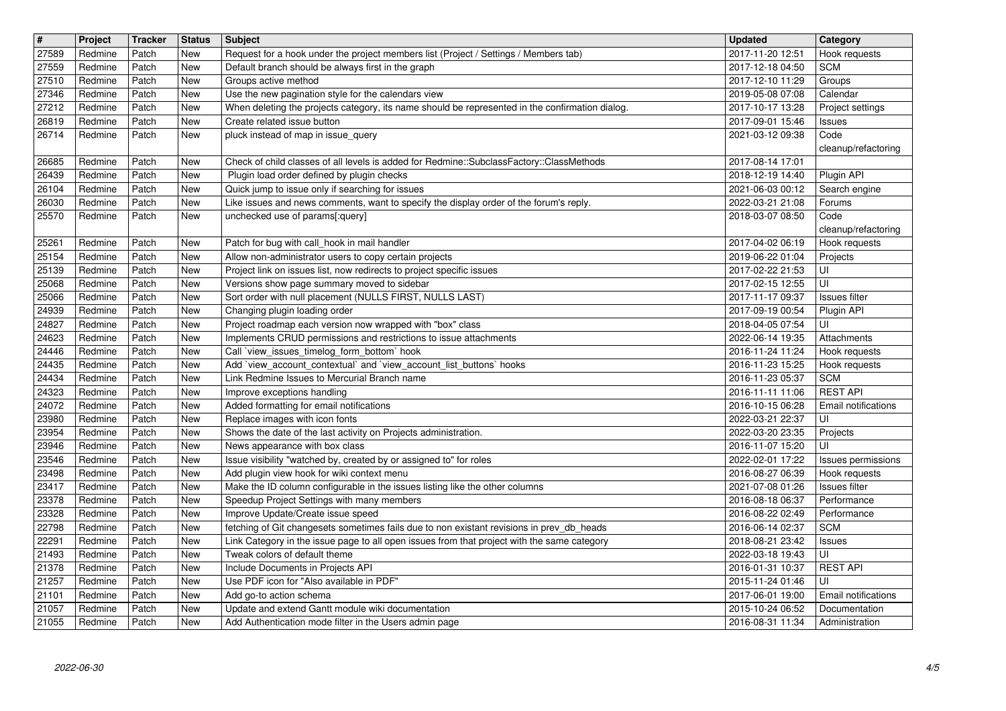| $\overline{\mathbf{H}}$ | Project            | <b>Tracker</b> | <b>Status</b> | <b>Subject</b>                                                                                                                                         | <b>Updated</b>                       | <b>Category</b>                      |
|-------------------------|--------------------|----------------|---------------|--------------------------------------------------------------------------------------------------------------------------------------------------------|--------------------------------------|--------------------------------------|
| 27589<br>27559          | Redmine<br>Redmine | Patch<br>Patch | New<br>New    | Request for a hook under the project members list (Project / Settings / Members tab)<br>Default branch should be always first in the graph             | 2017-11-20 12:51<br>2017-12-18 04:50 | Hook requests<br><b>SCM</b>          |
| 27510                   | Redmine            | Patch          | New           | Groups active method                                                                                                                                   | 2017-12-10 11:29                     | Groups                               |
| 27346<br>27212          | Redmine<br>Redmine | Patch<br>Patch | New<br>New    | Use the new pagination style for the calendars view<br>When deleting the projects category, its name should be represented in the confirmation dialog. | 2019-05-08 07:08<br>2017-10-17 13:28 | Calendar<br>Project settings         |
| 26819                   | Redmine            | Patch          | New           | Create related issue button                                                                                                                            | 2017-09-01 15:46                     | <b>Issues</b>                        |
| 26714                   | Redmine            | Patch          | New           | pluck instead of map in issue_query                                                                                                                    | 2021-03-12 09:38                     | Code<br>cleanup/refactoring          |
| 26685                   | Redmine            | Patch          | New           | Check of child classes of all levels is added for Redmine::SubclassFactory::ClassMethods                                                               | 2017-08-14 17:01                     |                                      |
| 26439<br>26104          | Redmine<br>Redmine | Patch<br>Patch | New<br>New    | Plugin load order defined by plugin checks<br>Quick jump to issue only if searching for issues                                                         | 2018-12-19 14:40<br>2021-06-03 00:12 | Plugin API<br>Search engine          |
| 26030                   | Redmine            | Patch          | New           | Like issues and news comments, want to specify the display order of the forum's reply.                                                                 | 2022-03-21 21:08                     | Forums                               |
| 25570                   | Redmine            | Patch          | New           | unchecked use of params[:query]                                                                                                                        | 2018-03-07 08:50                     | Code<br>cleanup/refactoring          |
| 25261                   | Redmine            | Patch          | New           | Patch for bug with call_hook in mail handler                                                                                                           | 2017-04-02 06:19                     | Hook requests                        |
| 25154<br>25139          | Redmine<br>Redmine | Patch<br>Patch | New<br>New    | Allow non-administrator users to copy certain projects<br>Project link on issues list, now redirects to project specific issues                        | 2019-06-22 01:04<br>2017-02-22 21:53 | Projects<br>UI                       |
| 25068                   | Redmine            | Patch          | New           | Versions show page summary moved to sidebar                                                                                                            | 2017-02-15 12:55                     | UI                                   |
| 25066<br>24939          | Redmine<br>Redmine | Patch<br>Patch | New<br>New    | Sort order with null placement (NULLS FIRST, NULLS LAST)<br>Changing plugin loading order                                                              | 2017-11-17 09:37<br>2017-09-19 00:54 | Issues filter<br>Plugin API          |
| 24827                   | Redmine            | Patch          | New           | Project roadmap each version now wrapped with "box" class                                                                                              | 2018-04-05 07:54                     | UI                                   |
| 24623<br>24446          | Redmine<br>Redmine | Patch<br>Patch | New<br>New    | Implements CRUD permissions and restrictions to issue attachments<br>Call 'view_issues_timelog_form_bottom' hook                                       | 2022-06-14 19:35<br>2016-11-24 11:24 | Attachments<br>Hook requests         |
| 24435                   | Redmine            | Patch          | New           | Add `view_account_contextual` and `view_account_list_buttons` hooks                                                                                    | 2016-11-23 15:25                     | Hook requests                        |
| 24434<br>24323          | Redmine<br>Redmine | Patch<br>Patch | New<br>New    | Link Redmine Issues to Mercurial Branch name<br>Improve exceptions handling                                                                            | 2016-11-23 05:37<br>2016-11-11 11:06 | <b>SCM</b><br><b>REST API</b>        |
| 24072                   | Redmine            | Patch          | New           | Added formatting for email notifications                                                                                                               | 2016-10-15 06:28                     | Email notifications                  |
| 23980<br>23954          | Redmine<br>Redmine | Patch<br>Patch | New<br>New    | Replace images with icon fonts<br>Shows the date of the last activity on Projects administration.                                                      | 2022-03-21 22:37<br>2022-03-20 23:35 | UI<br>Projects                       |
| 23946                   | Redmine            | Patch          | New           | News appearance with box class                                                                                                                         | 2016-11-07 15:20                     | UI                                   |
| 23546<br>23498          | Redmine            | Patch<br>Patch | New<br>New    | Issue visibility "watched by, created by or assigned to" for roles                                                                                     | 2022-02-01 17:22                     | Issues permissions                   |
| 23417                   | Redmine<br>Redmine | Patch          | New           | Add plugin view hook for wiki context menu<br>Make the ID column configurable in the issues listing like the other columns                             | 2016-08-27 06:39<br>2021-07-08 01:26 | Hook requests<br>Issues filter       |
| 23378                   | Redmine            | Patch          | New           | Speedup Project Settings with many members                                                                                                             | 2016-08-18 06:37                     | Performance                          |
| 23328<br>22798          | Redmine<br>Redmine | Patch<br>Patch | New<br>New    | Improve Update/Create issue speed<br>fetching of Git changesets sometimes fails due to non existant revisions in prev_db_heads                         | 2016-08-22 02:49<br>2016-06-14 02:37 | Performance<br><b>SCM</b>            |
| 22291                   | Redmine            | Patch          | New           | Link Category in the issue page to all open issues from that project with the same category                                                            | 2018-08-21 23:42                     | Issues                               |
| 21493<br>21378          | Redmine<br>Redmine | Patch<br>Patch | New<br>New    | Tweak colors of default theme<br>Include Documents in Projects API                                                                                     | 2022-03-18 19:43<br>2016-01-31 10:37 | UI<br><b>REST API</b>                |
| 21257                   | Redmine            | Patch          | New           | Use PDF icon for "Also available in PDF"                                                                                                               | 2015-11-24 01:46                     | UI                                   |
| 21101<br>21057          | Redmine<br>Redmine | Patch<br>Patch | New<br>New    | Add go-to action schema<br>Update and extend Gantt module wiki documentation                                                                           | 2017-06-01 19:00<br>2015-10-24 06:52 | Email notifications<br>Documentation |
| 21055                   | Redmine            | Patch          | New           | Add Authentication mode filter in the Users admin page                                                                                                 | 2016-08-31 11:34                     | Administration                       |
|                         |                    |                |               |                                                                                                                                                        |                                      |                                      |
|                         |                    |                |               |                                                                                                                                                        |                                      |                                      |
|                         |                    |                |               |                                                                                                                                                        |                                      |                                      |
|                         |                    |                |               |                                                                                                                                                        |                                      |                                      |
|                         |                    |                |               |                                                                                                                                                        |                                      |                                      |
|                         |                    |                |               |                                                                                                                                                        |                                      |                                      |
|                         |                    |                |               |                                                                                                                                                        |                                      |                                      |
|                         |                    |                |               |                                                                                                                                                        |                                      |                                      |